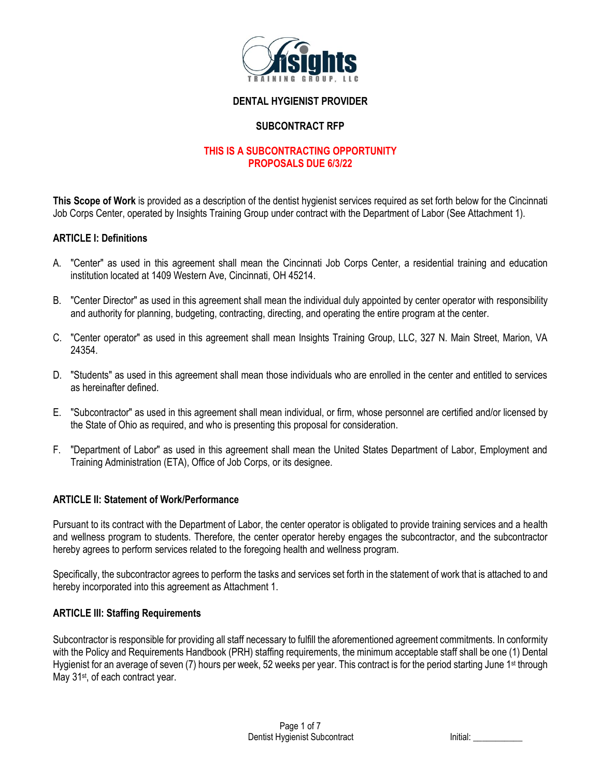

# **DENTAL HYGIENIST PROVIDER**

# **SUBCONTRACT RFP**

# **THIS IS A SUBCONTRACTING OPPORTUNITY PROPOSALS DUE 6/3/22**

**This Scope of Work** is provided as a description of the dentist hygienist services required as set forth below for the Cincinnati Job Corps Center, operated by Insights Training Group under contract with the Department of Labor (See Attachment 1).

#### **ARTICLE I: Definitions**

- A. "Center" as used in this agreement shall mean the Cincinnati Job Corps Center, a residential training and education institution located at 1409 Western Ave, Cincinnati, OH 45214.
- B. "Center Director" as used in this agreement shall mean the individual duly appointed by center operator with responsibility and authority for planning, budgeting, contracting, directing, and operating the entire program at the center.
- C. "Center operator" as used in this agreement shall mean Insights Training Group, LLC, 327 N. Main Street, Marion, VA 24354.
- D. "Students" as used in this agreement shall mean those individuals who are enrolled in the center and entitled to services as hereinafter defined.
- E. "Subcontractor" as used in this agreement shall mean individual, or firm, whose personnel are certified and/or licensed by the State of Ohio as required, and who is presenting this proposal for consideration.
- F. "Department of Labor" as used in this agreement shall mean the United States Department of Labor, Employment and Training Administration (ETA), Office of Job Corps, or its designee.

#### **ARTICLE II: Statement of Work/Performance**

Pursuant to its contract with the Department of Labor, the center operator is obligated to provide training services and a health and wellness program to students. Therefore, the center operator hereby engages the subcontractor, and the subcontractor hereby agrees to perform services related to the foregoing health and wellness program.

Specifically, the subcontractor agrees to perform the tasks and services set forth in the statement of work that is attached to and hereby incorporated into this agreement as Attachment 1.

#### **ARTICLE III: Staffing Requirements**

Subcontractor is responsible for providing all staff necessary to fulfill the aforementioned agreement commitments. In conformity with the Policy and Requirements Handbook (PRH) staffing requirements, the minimum acceptable staff shall be one (1) Dental Hygienist for an average of seven (7) hours per week, 52 weeks per year. This contract is for the period starting June 1<sup>st</sup> through May 31<sup>st</sup>, of each contract year.

| Initial: |  |
|----------|--|
|          |  |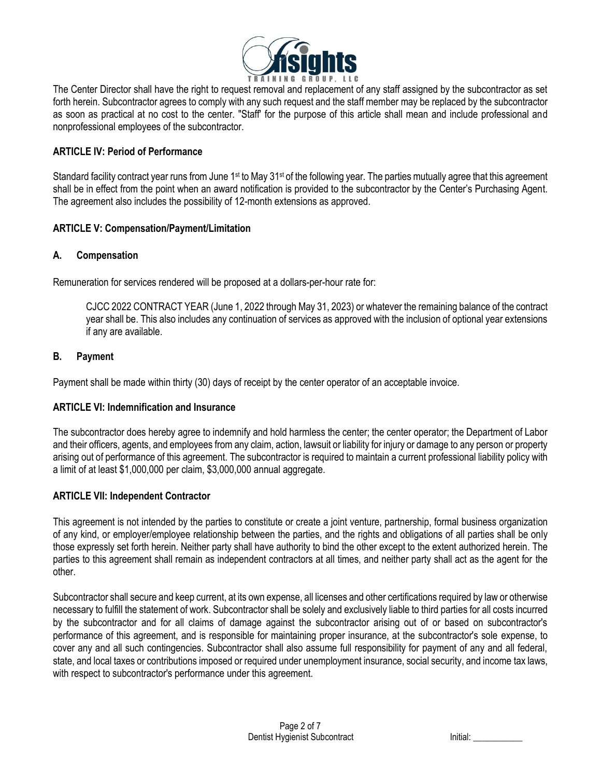

The Center Director shall have the right to request removal and replacement of any staff assigned by the subcontractor as set forth herein. Subcontractor agrees to comply with any such request and the staff member may be replaced by the subcontractor as soon as practical at no cost to the center. "Staff' for the purpose of this article shall mean and include professional and nonprofessional employees of the subcontractor.

# **ARTICLE IV: Period of Performance**

Standard facility contract year runs from June 1<sup>st</sup> to May 31<sup>st</sup> of the following year. The parties mutually agree that this agreement shall be in effect from the point when an award notification is provided to the subcontractor by the Center's Purchasing Agent. The agreement also includes the possibility of 12-month extensions as approved.

#### **ARTICLE V: Compensation/Payment/Limitation**

# **A. Compensation**

Remuneration for services rendered will be proposed at a dollars-per-hour rate for:

CJCC 2022 CONTRACT YEAR (June 1, 2022 through May 31, 2023) or whatever the remaining balance of the contract year shall be. This also includes any continuation of services as approved with the inclusion of optional year extensions if any are available.

# **B. Payment**

Payment shall be made within thirty (30) days of receipt by the center operator of an acceptable invoice.

#### **ARTICLE VI: Indemnification and Insurance**

The subcontractor does hereby agree to indemnify and hold harmless the center; the center operator; the Department of Labor and their officers, agents, and employees from any claim, action, lawsuit or liability for injury or damage to any person or property arising out of performance of this agreement. The subcontractor is required to maintain a current professional liability policy with a limit of at least \$1,000,000 per claim, \$3,000,000 annual aggregate.

#### **ARTICLE VII: Independent Contractor**

This agreement is not intended by the parties to constitute or create a joint venture, partnership, formal business organization of any kind, or employer/employee relationship between the parties, and the rights and obligations of all parties shall be only those expressly set forth herein. Neither party shall have authority to bind the other except to the extent authorized herein. The parties to this agreement shall remain as independent contractors at all times, and neither party shall act as the agent for the other.

Subcontractor shall secure and keep current, at its own expense, all licenses and other certifications required by law or otherwise necessary to fulfill the statement of work. Subcontractor shall be solely and exclusively liable to third parties for all costs incurred by the subcontractor and for all claims of damage against the subcontractor arising out of or based on subcontractor's performance of this agreement, and is responsible for maintaining proper insurance, at the subcontractor's sole expense, to cover any and all such contingencies. Subcontractor shall also assume full responsibility for payment of any and all federal, state, and local taxes or contributions imposed or required under unemployment insurance, social security, and income tax laws, with respect to subcontractor's performance under this agreement.

| Initial: |  |  |
|----------|--|--|
|          |  |  |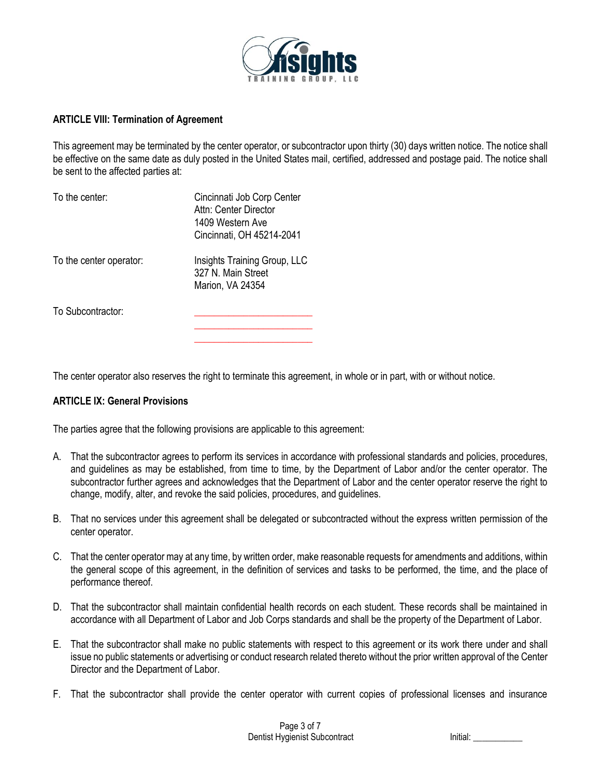

#### **ARTICLE VIII: Termination of Agreement**

This agreement may be terminated by the center operator, or subcontractor upon thirty (30) days written notice. The notice shall be effective on the same date as duly posted in the United States mail, certified, addressed and postage paid. The notice shall be sent to the affected parties at:

| To the center:          | Cincinnati Job Corp Center<br>Attn: Center Director<br>1409 Western Ave<br>Cincinnati, OH 45214-2041 |
|-------------------------|------------------------------------------------------------------------------------------------------|
| To the center operator: | Insights Training Group, LLC<br>327 N. Main Street<br>Marion, VA 24354                               |
| To Subcontractor:       |                                                                                                      |

The center operator also reserves the right to terminate this agreement, in whole or in part, with or without notice.

**\_\_\_\_\_\_\_\_\_\_\_\_\_\_\_\_\_\_\_\_\_\_\_\_**

#### **ARTICLE IX: General Provisions**

The parties agree that the following provisions are applicable to this agreement:

- A. That the subcontractor agrees to perform its services in accordance with professional standards and policies, procedures, and guidelines as may be established, from time to time, by the Department of Labor and/or the center operator. The subcontractor further agrees and acknowledges that the Department of Labor and the center operator reserve the right to change, modify, alter, and revoke the said policies, procedures, and guidelines.
- B. That no services under this agreement shall be delegated or subcontracted without the express written permission of the center operator.
- C. That the center operator may at any time, by written order, make reasonable requests for amendments and additions, within the general scope of this agreement, in the definition of services and tasks to be performed, the time, and the place of performance thereof.
- D. That the subcontractor shall maintain confidential health records on each student. These records shall be maintained in accordance with all Department of Labor and Job Corps standards and shall be the property of the Department of Labor.
- E. That the subcontractor shall make no public statements with respect to this agreement or its work there under and shall issue no public statements or advertising or conduct research related thereto without the prior written approval of the Center Director and the Department of Labor.
- F. That the subcontractor shall provide the center operator with current copies of professional licenses and insurance

| Initial: |  |
|----------|--|
|          |  |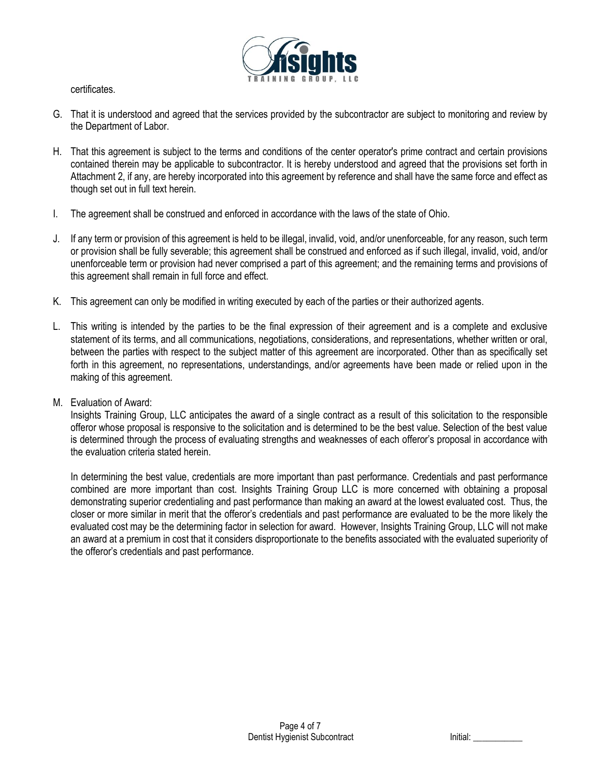

certificates.

- G. That it is understood and agreed that the services provided by the subcontractor are subject to monitoring and review by the Department of Labor.
- H. That this agreement is subject to the terms and conditions of the center operator's prime contract and certain provisions contained therein may be applicable to subcontractor. It is hereby understood and agreed that the provisions set forth in Attachment 2, if any, are hereby incorporated into this agreement by reference and shall have the same force and effect as though set out in full text herein.
- I. The agreement shall be construed and enforced in accordance with the laws of the state of Ohio.
- J. If any term or provision of this agreement is held to be illegal, invalid, void, and/or unenforceable, for any reason, such term or provision shall be fully severable; this agreement shall be construed and enforced as if such illegal, invalid, void, and/or unenforceable term or provision had never comprised a part of this agreement; and the remaining terms and provisions of this agreement shall remain in full force and effect.
- K. This agreement can only be modified in writing executed by each of the parties or their authorized agents.
- L. This writing is intended by the parties to be the final expression of their agreement and is a complete and exclusive statement of its terms, and all communications, negotiations, considerations, and representations, whether written or oral, between the parties with respect to the subject matter of this agreement are incorporated. Other than as specifically set forth in this agreement, no representations, understandings, and/or agreements have been made or relied upon in the making of this agreement.
- M. Evaluation of Award:

Insights Training Group, LLC anticipates the award of a single contract as a result of this solicitation to the responsible offeror whose proposal is responsive to the solicitation and is determined to be the best value. Selection of the best value is determined through the process of evaluating strengths and weaknesses of each offeror's proposal in accordance with the evaluation criteria stated herein.

In determining the best value, credentials are more important than past performance. Credentials and past performance combined are more important than cost. Insights Training Group LLC is more concerned with obtaining a proposal demonstrating superior credentialing and past performance than making an award at the lowest evaluated cost. Thus, the closer or more similar in merit that the offeror's credentials and past performance are evaluated to be the more likely the evaluated cost may be the determining factor in selection for award. However, Insights Training Group, LLC will not make an award at a premium in cost that it considers disproportionate to the benefits associated with the evaluated superiority of the offeror's credentials and past performance.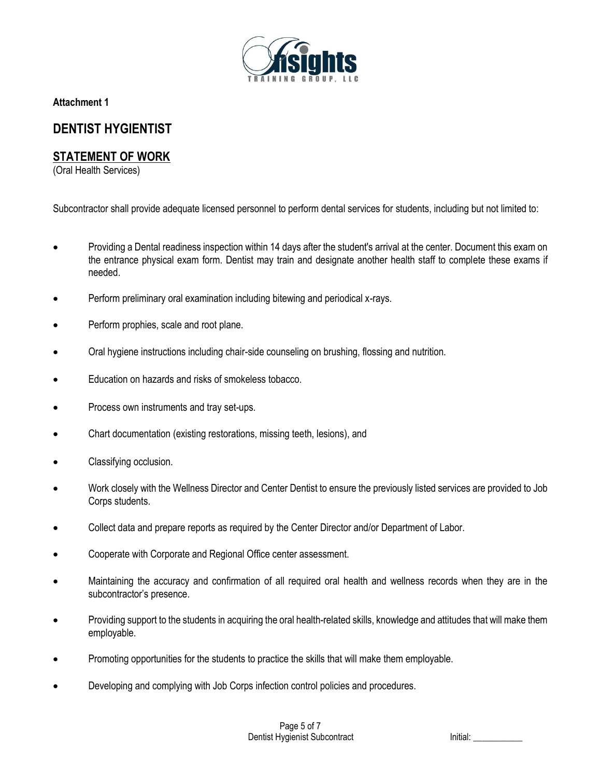

**Attachment 1**

# **DENTIST HYGIENTIST**

# **STATEMENT OF WORK**

(Oral Health Services)

Subcontractor shall provide adequate licensed personnel to perform dental services for students, including but not limited to:

- Providing a Dental readiness inspection within 14 days after the student's arrival at the center. Document this exam on the entrance physical exam form. Dentist may train and designate another health staff to complete these exams if needed.
- Perform preliminary oral examination including bitewing and periodical x-rays.
- Perform prophies, scale and root plane.
- Oral hygiene instructions including chair-side counseling on brushing, flossing and nutrition.
- Education on hazards and risks of smokeless tobacco.
- Process own instruments and tray set-ups.
- Chart documentation (existing restorations, missing teeth, lesions), and
- Classifying occlusion.
- Work closely with the Wellness Director and Center Dentist to ensure the previously listed services are provided to Job Corps students.
- Collect data and prepare reports as required by the Center Director and/or Department of Labor.
- Cooperate with Corporate and Regional Office center assessment.
- Maintaining the accuracy and confirmation of all required oral health and wellness records when they are in the subcontractor's presence.
- Providing support to the students in acquiring the oral health-related skills, knowledge and attitudes that will make them employable.
- Promoting opportunities for the students to practice the skills that will make them employable.
- Developing and complying with Job Corps infection control policies and procedures.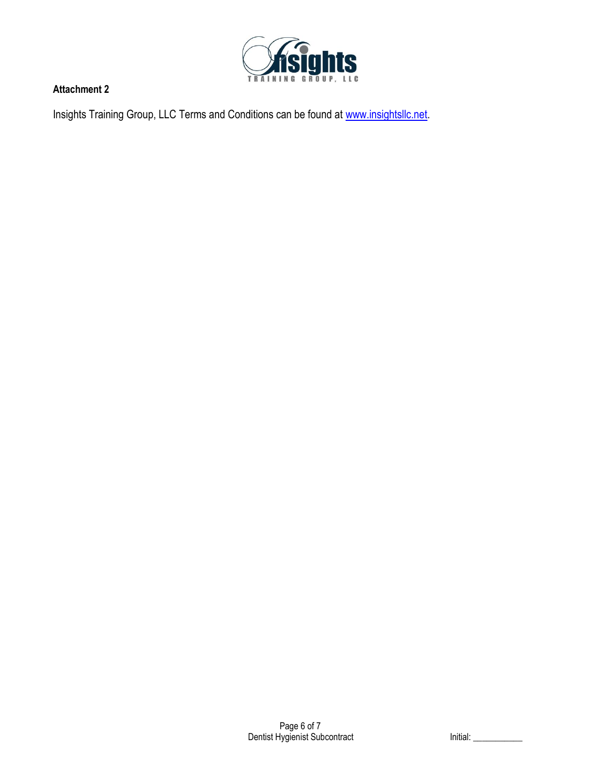

# **Attachment 2**

Insights Training Group, LLC Terms and Conditions can be found at [www.insightsllc.net.](http://www.insightsllc.net/)